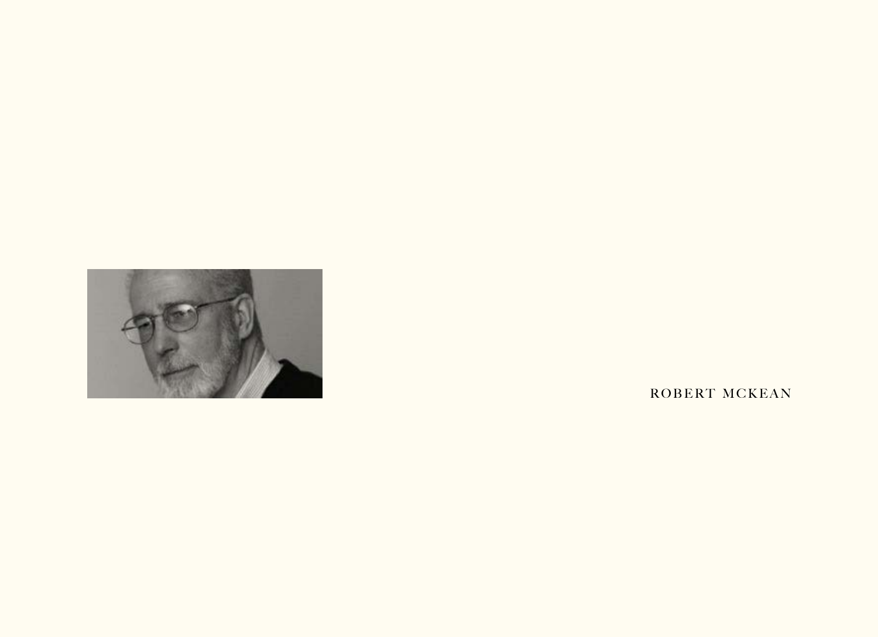

ROBERT MCKEAN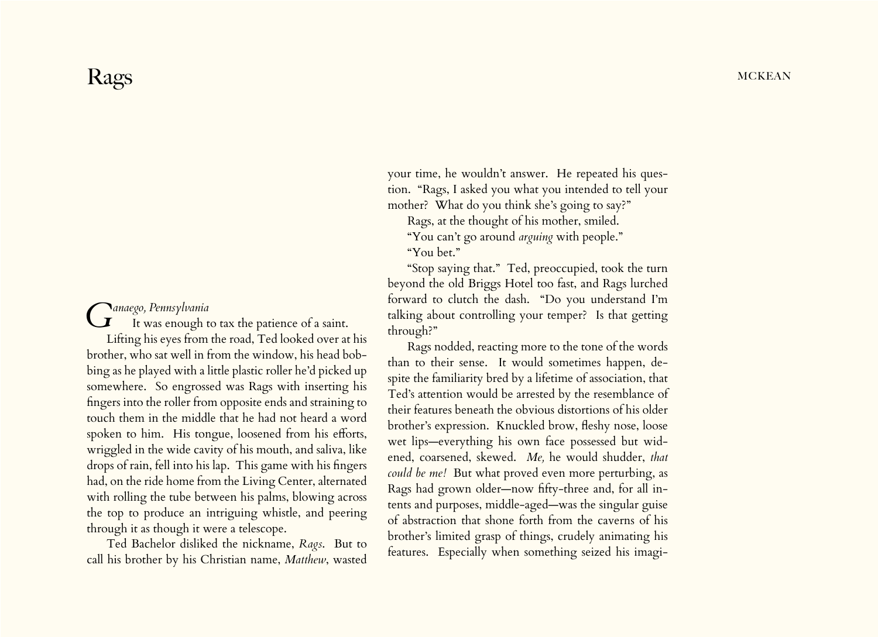## *Ganaego, Pennsylvania* It was enough to tax the patience of a saint. Lifting his eyes from the road, Ted looked over at his brother, who sat well in from the window, his head bobbing as he played with a little plastic roller he'd picked up somewhere. So engrossed was Rags with inserting his

fingers into the roller from opposite ends and straining to touch them in the middle that he had not heard a word spoken to him. His tongue, loosened from his efforts, wriggled in the wide cavity of his mouth, and saliva, like drops of rain, fell into his lap. This game with his fingers had, on the ride home from the Living Center, alternated with rolling the tube between his palms, blowing across the top to produce an intriguing whistle, and peering through it as though it were a telescope.

Ted Bachelor disliked the nickname, *Rags*. But to call his brother by his Christian name, *Matthew*, wasted your time, he wouldn't answer. He repeated his question. "Rags, I asked you what you intended to tell your mother? What do you think she's going to say?"

Rags, at the thought of his mother, smiled.

"You can't go around *arguing* with people."

"You bet."

"Stop saying that." Ted, preoccupied, took the turn beyond the old Briggs Hotel too fast, and Rags lurched forward to clutch the dash. "Do you understand I'm talking about controlling your temper? Is that getting through?"

Rags nodded, reacting more to the tone of the words than to their sense. It would sometimes happen, despite the familiarity bred by a lifetime of association, that Ted's attention would be arrested by the resemblance of their features beneath the obvious distortions of his older brother's expression. Knuckled brow, fleshy nose, loose wet lips—everything his own face possessed but widened, coarsened, skewed. *Me,* he would shudder, *that could be me!* But what proved even more perturbing, as Rags had grown older—now fifty-three and, for all intents and purposes, middle-aged—was the singular guise of abstraction that shone forth from the caverns of his brother's limited grasp of things, crudely animating his features. Especially when something seized his imagi-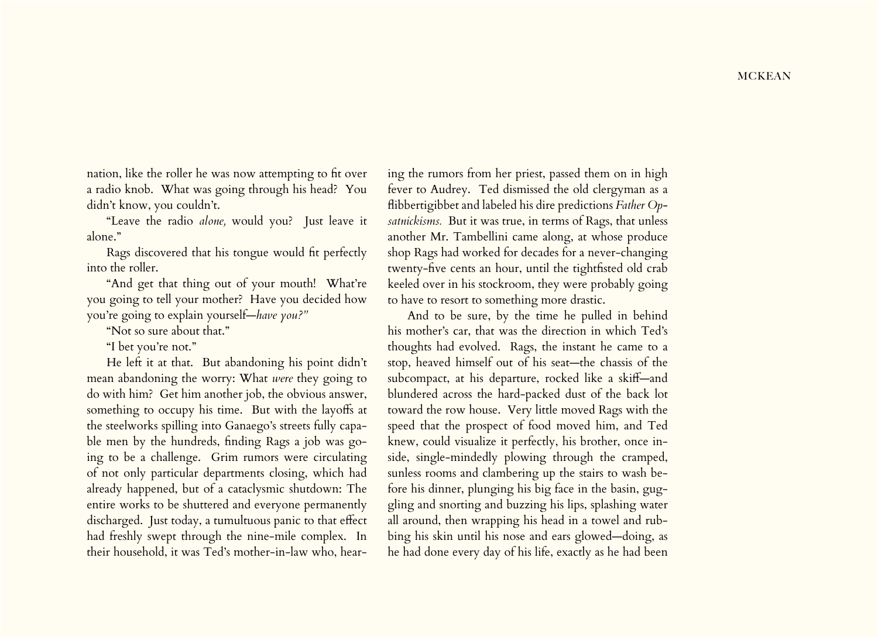nation, like the roller he was now attempting to fit over a radio knob. What was going through his head? You didn't know, you couldn't.

"Leave the radio *alone,* would you? Just leave it alone."

Rags discovered that his tongue would fit perfectly into the roller.

"And get that thing out of your mouth! What're you going to tell your mother? Have you decided how you're going to explain yourself—*have you?"*

"Not so sure about that."

"I bet you're not."

He left it at that. But abandoning his point didn't mean abandoning the worry: What *were* they going to do with him? Get him another job, the obvious answer, something to occupy his time. But with the layoffs at the steelworks spilling into Ganaego's streets fully capable men by the hundreds, finding Rags a job was going to be a challenge. Grim rumors were circulating of not only particular departments closing, which had already happened, but of a cataclysmic shutdown: The entire works to be shuttered and everyone permanently discharged. Just today, a tumultuous panic to that effect had freshly swept through the nine-mile complex. In their household, it was Ted's mother-in-law who, hearing the rumors from her priest, passed them on in high fever to Audrey. Ted dismissed the old clergyman as a flibbertigibbet and labeled his dire predictions *Father Opsatnickisms.* But it was true, in terms of Rags, that unless another Mr. Tambellini came along, at whose produce shop Rags had worked for decades for a never-changing twenty‑five cents an hour, until the tightfisted old crab keeled over in his stockroom, they were probably going to have to resort to something more drastic.

And to be sure, by the time he pulled in behind his mother's car, that was the direction in which Ted's thoughts had evolved. Rags, the instant he came to a stop, heaved himself out of his seat—the chassis of the subcompact, at his departure, rocked like a skiff—and blundered across the hard-packed dust of the back lot toward the row house. Very little moved Rags with the speed that the prospect of food moved him, and Ted knew, could visualize it perfectly, his brother, once inside, single-mindedly plowing through the cramped, sunless rooms and clambering up the stairs to wash before his dinner, plunging his big face in the basin, guggling and snorting and buzzing his lips, splashing water all around, then wrapping his head in a towel and rubbing his skin until his nose and ears glowed—doing, as he had done every day of his life, exactly as he had been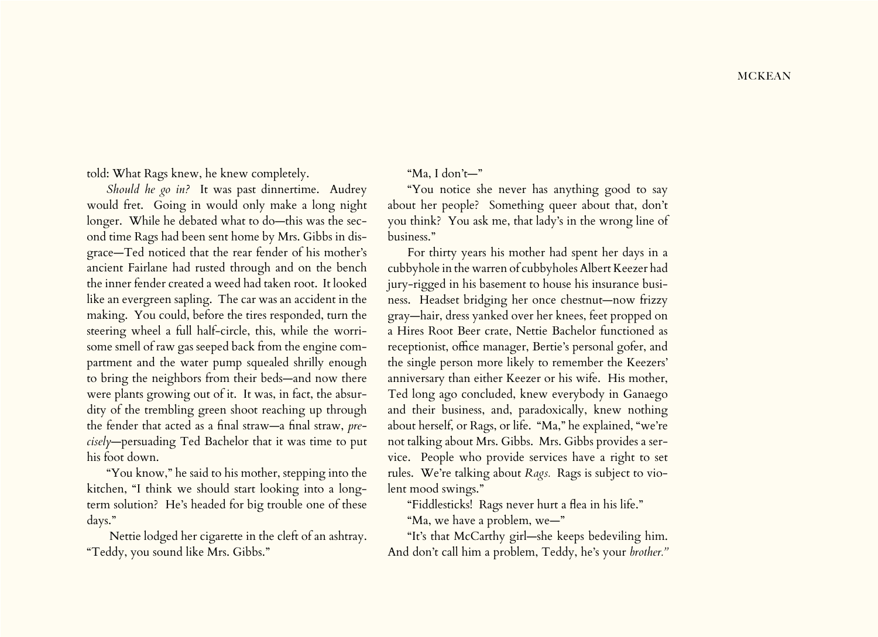told: What Rags knew, he knew completely.

*Should he go in?* It was past dinnertime. Audrey would fret. Going in would only make a long night longer. While he debated what to do—this was the second time Rags had been sent home by Mrs. Gibbs in disgrace—Ted noticed that the rear fender of his mother's ancient Fairlane had rusted through and on the bench the inner fender created a weed had taken root. It looked like an evergreen sapling. The car was an accident in the making. You could, before the tires responded, turn the steering wheel a full half-circle, this, while the worrisome smell of raw gas seeped back from the engine compartment and the water pump squealed shrilly enough to bring the neighbors from their beds—and now there were plants growing out of it. It was, in fact, the absurdity of the trembling green shoot reaching up through the fender that acted as a final straw—a final straw, *precisely*—persuading Ted Bachelor that it was time to put his foot down.

"You know," he said to his mother, stepping into the kitchen, "I think we should start looking into a longterm solution? He's headed for big trouble one of these days."

 Nettie lodged her cigarette in the cleft of an ashtray. "Teddy, you sound like Mrs. Gibbs."

"Ma, I don't—"

"You notice she never has anything good to say about her people? Something queer about that, don't you think? You ask me, that lady's in the wrong line of business."

For thirty years his mother had spent her days in a cubbyhole in the warren of cubbyholes Albert Keezer had jury-rigged in his basement to house his insurance business. Headset bridging her once chestnut—now frizzy gray—hair, dress yanked over her knees, feet propped on a Hires Root Beer crate, Nettie Bachelor functioned as receptionist, office manager, Bertie's personal gofer, and the single person more likely to remember the Keezers' anniversary than either Keezer or his wife. His mother, Ted long ago concluded, knew everybody in Ganaego and their business, and, paradoxically, knew nothing about herself, or Rags, or life. "Ma," he explained, "we're not talking about Mrs. Gibbs. Mrs. Gibbs provides a service. People who provide services have a right to set rules. We're talking about *Rags.* Rags is subject to violent mood swings."

"Fiddlesticks! Rags never hurt a flea in his life."

"Ma, we have a problem, we—"

"It's that McCarthy girl—she keeps bedeviling him. And don't call him a problem, Teddy, he's your *brother."*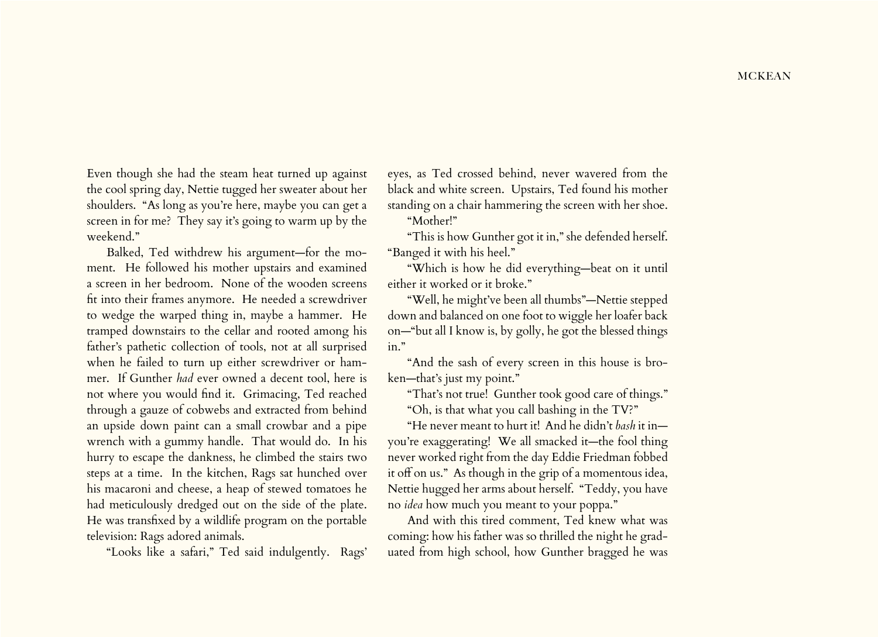Even though she had the steam heat turned up against the cool spring day, Nettie tugged her sweater about her shoulders. "As long as you're here, maybe you can get a screen in for me? They say it's going to warm up by the weekend."

Balked, Ted withdrew his argument—for the moment. He followed his mother upstairs and examined a screen in her bedroom. None of the wooden screens fit into their frames anymore. He needed a screwdriver to wedge the warped thing in, maybe a hammer. He tramped downstairs to the cellar and rooted among his father's pathetic collection of tools, not at all surprised when he failed to turn up either screwdriver or hammer. If Gunther *had* ever owned a decent tool, here is not where you would find it. Grimacing, Ted reached through a gauze of cobwebs and extracted from behind an upside down paint can a small crowbar and a pipe wrench with a gummy handle. That would do. In his hurry to escape the dankness, he climbed the stairs two steps at a time. In the kitchen, Rags sat hunched over his macaroni and cheese, a heap of stewed tomatoes he had meticulously dredged out on the side of the plate. He was transfixed by a wildlife program on the portable television: Rags adored animals.

"Looks like a safari," Ted said indulgently. Rags'

eyes, as Ted crossed behind, never wavered from the black and white screen. Upstairs, Ted found his mother standing on a chair hammering the screen with her shoe. "Mother!"

"This is how Gunther got it in," she defended herself. "Banged it with his heel."

"Which is how he did everything—beat on it until either it worked or it broke."

"Well, he might've been all thumbs"—Nettie stepped down and balanced on one foot to wiggle her loafer back on—"but all I know is, by golly, he got the blessed things in."

"And the sash of every screen in this house is broken—that's just my point."

"That's not true! Gunther took good care of things."

"Oh, is that what you call bashing in the TV?"

"He never meant to hurt it! And he didn't *bash* it in you're exaggerating! We all smacked it—the fool thing never worked right from the day Eddie Friedman fobbed it off on us." As though in the grip of a momentous idea, Nettie hugged her arms about herself. "Teddy, you have no *idea* how much you meant to your poppa."

And with this tired comment, Ted knew what was coming: how his father was so thrilled the night he graduated from high school, how Gunther bragged he was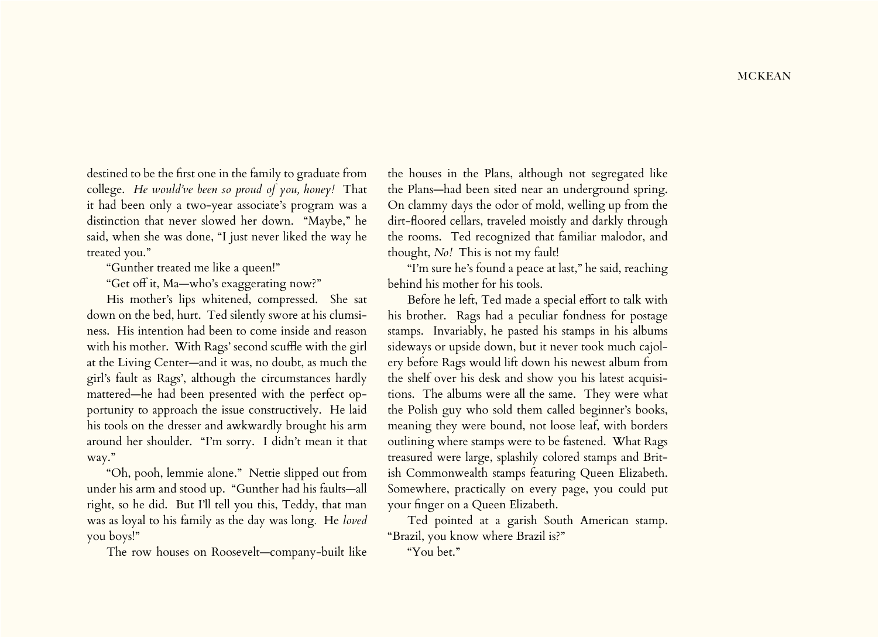destined to be the first one in the family to graduate from college. *He would've been so proud of you, honey!* That it had been only a two-year associate's program was a distinction that never slowed her down. "Maybe," he said, when she was done, "I just never liked the way he treated you."

"Gunther treated me like a queen!"

"Get off it, Ma—who's exaggerating now?"

His mother's lips whitened, compressed. She sat down on the bed, hurt. Ted silently swore at his clumsiness. His intention had been to come inside and reason with his mother. With Rags' second scuffle with the girl at the Living Center—and it was, no doubt, as much the girl's fault as Rags', although the circumstances hardly mattered—he had been presented with the perfect opportunity to approach the issue constructively. He laid his tools on the dresser and awkwardly brought his arm around her shoulder. "I'm sorry. I didn't mean it that way."

"Oh, pooh, lemmie alone." Nettie slipped out from under his arm and stood up. "Gunther had his faults—all right, so he did. But I'll tell you this, Teddy, that man was as loyal to his family as the day was long*.* He *loved* you boys!"

The row houses on Roosevelt—company-built like

the houses in the Plans, although not segregated like the Plans—had been sited near an underground spring. On clammy days the odor of mold, welling up from the dirt-floored cellars, traveled moistly and darkly through the rooms. Ted recognized that familiar malodor, and thought, *No!* This is not my fault!

"I'm sure he's found a peace at last," he said, reaching behind his mother for his tools.

Before he left, Ted made a special effort to talk with his brother. Rags had a peculiar fondness for postage stamps. Invariably, he pasted his stamps in his albums sideways or upside down, but it never took much cajolery before Rags would lift down his newest album from the shelf over his desk and show you his latest acquisitions. The albums were all the same. They were what the Polish guy who sold them called beginner's books, meaning they were bound, not loose leaf, with borders outlining where stamps were to be fastened. What Rags treasured were large, splashily colored stamps and British Commonwealth stamps featuring Queen Elizabeth. Somewhere, practically on every page, you could put your finger on a Queen Elizabeth.

Ted pointed at a garish South American stamp. "Brazil, you know where Brazil is?"

"You bet."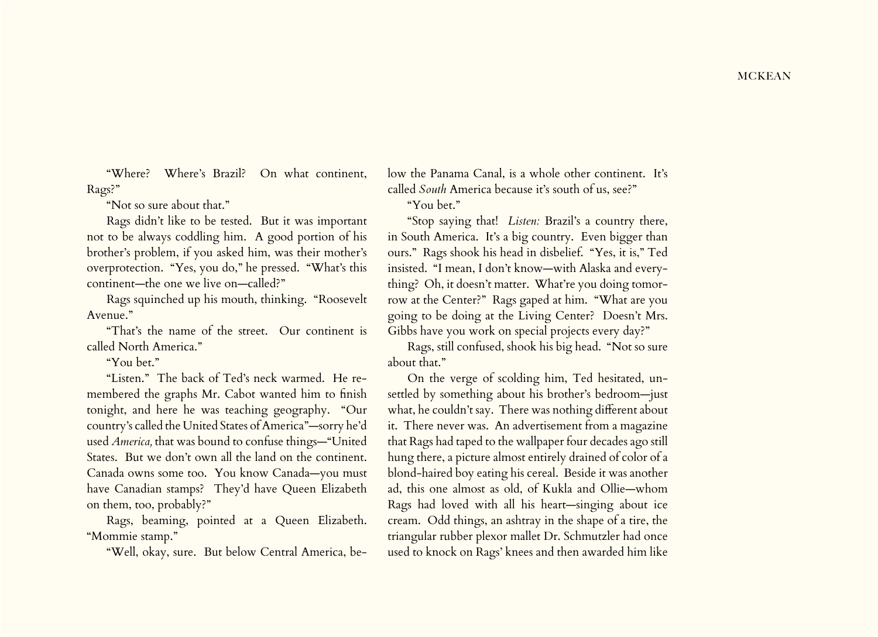"Where? Where's Brazil? On what continent, Rags?"

"Not so sure about that."

Rags didn't like to be tested. But it was important not to be always coddling him. A good portion of his brother's problem, if you asked him, was their mother's overprotection. "Yes, you do," he pressed. "What's this continent—the one we live on—called?"

Rags squinched up his mouth, thinking. "Roosevelt Avenue."

"That's the name of the street. Our continent is called North America."

"You bet."

"Listen." The back of Ted's neck warmed. He remembered the graphs Mr. Cabot wanted him to finish tonight, and here he was teaching geography. "Our country's called the United States of America"—sorry he'd used *America,* that was bound to confuse things—"United States. But we don't own all the land on the continent. Canada owns some too. You know Canada—you must have Canadian stamps? They'd have Queen Elizabeth on them, too, probably?"

Rags, beaming, pointed at a Queen Elizabeth. "Mommie stamp."

"Well, okay, sure. But below Central America, be-

low the Panama Canal, is a whole other continent. It's called *South* America because it's south of us, see?"

"You bet."

"Stop saying that! *Listen:* Brazil's a country there, in South America. It's a big country. Even bigger than ours." Rags shook his head in disbelief. "Yes, it is," Ted insisted. "I mean, I don't know—with Alaska and everything? Oh, it doesn't matter. What're you doing tomorrow at the Center?" Rags gaped at him. "What are you going to be doing at the Living Center? Doesn't Mrs. Gibbs have you work on special projects every day?"

Rags, still confused, shook his big head. "Not so sure about that."

On the verge of scolding him, Ted hesitated, unsettled by something about his brother's bedroom—just what, he couldn't say. There was nothing different about it. There never was. An advertisement from a magazine that Rags had taped to the wallpaper four decades ago still hung there, a picture almost entirely drained of color of a blond-haired boy eating his cereal. Beside it was another ad, this one almost as old, of Kukla and Ollie—whom Rags had loved with all his heart—singing about ice cream. Odd things, an ashtray in the shape of a tire, the triangular rubber plexor mallet Dr. Schmutzler had once used to knock on Rags' knees and then awarded him like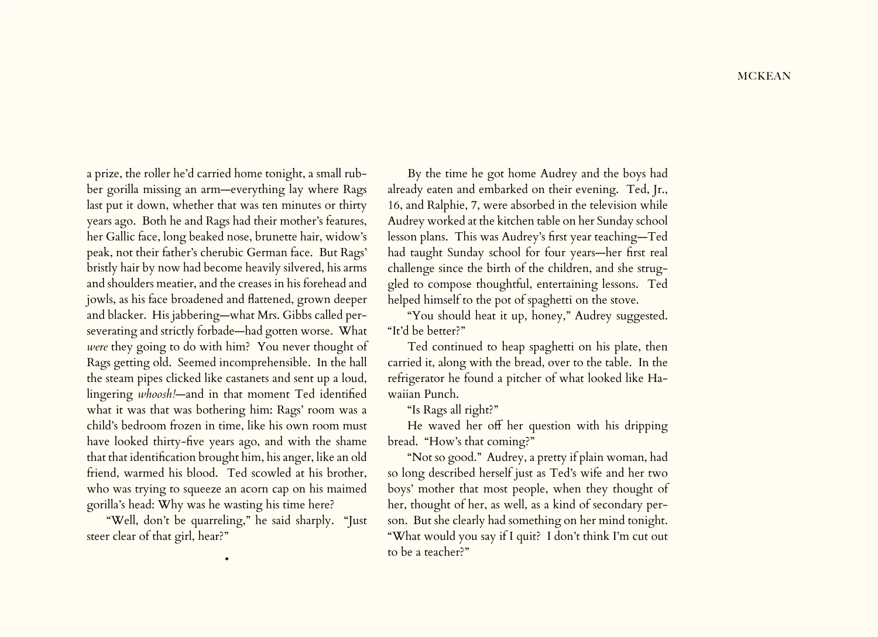a prize, the roller he'd carried home tonight, a small rubber gorilla missing an arm—everything lay where Rags last put it down, whether that was ten minutes or thirty years ago. Both he and Rags had their mother's features, her Gallic face, long beaked nose, brunette hair, widow's peak, not their father's cherubic German face. But Rags' bristly hair by now had become heavily silvered, his arms and shoulders meatier, and the creases in his forehead and jowls, as his face broadened and flattened, grown deeper and blacker. His jabbering—what Mrs. Gibbs called perseverating and strictly forbade—had gotten worse. What *were* they going to do with him? You never thought of Rags getting old. Seemed incomprehensible. In the hall the steam pipes clicked like castanets and sent up a loud, lingering *whoosh!*—and in that moment Ted identified what it was that was bothering him: Rags' room was a child's bedroom frozen in time, like his own room must have looked thirty-five years ago, and with the shame that that identification brought him, his anger, like an old friend, warmed his blood. Ted scowled at his brother, who was trying to squeeze an acorn cap on his maimed gorilla's head: Why was he wasting his time here?

"Well, don't be quarreling," he said sharply. "Just steer clear of that girl, hear?"

•

By the time he got home Audrey and the boys had already eaten and embarked on their evening. Ted, Jr., 16, and Ralphie, 7, were absorbed in the television while Audrey worked at the kitchen table on her Sunday school lesson plans. This was Audrey's first year teaching—Ted had taught Sunday school for four years—her first real challenge since the birth of the children, and she struggled to compose thoughtful, entertaining lessons. Ted helped himself to the pot of spaghetti on the stove.

"You should heat it up, honey," Audrey suggested. "It'd be better?"

Ted continued to heap spaghetti on his plate, then carried it, along with the bread, over to the table. In the refrigerator he found a pitcher of what looked like Hawaiian Punch.

"Is Rags all right?"

He waved her off her question with his dripping bread. "How's that coming?"

"Not so good." Audrey, a pretty if plain woman, had so long described herself just as Ted's wife and her two boys' mother that most people, when they thought of her, thought of her, as well, as a kind of secondary person. But she clearly had something on her mind tonight. "What would you say if I quit? I don't think I'm cut out to be a teacher?"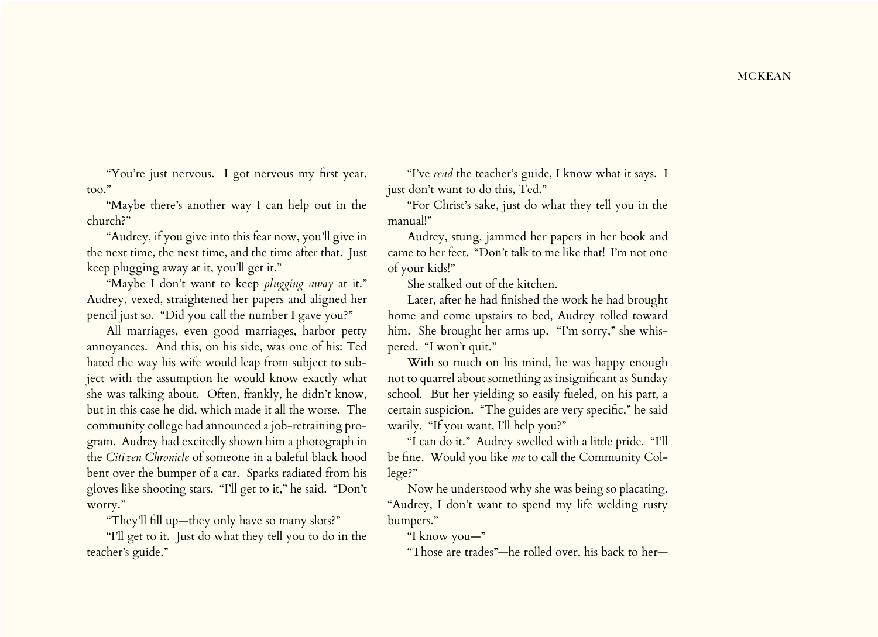"You're just nervous. I got nervous my first year, too."

"Maybe there's another way I can help out in the church?"

"Audrey, if you give into this fear now, you'll give in the next time, the next time, and the time after that. Just keep plugging away at it, you'll get it."

"Maybe I don't want to keep *plugging away* at it." Audrey, vexed, straightened her papers and aligned her pencil just so. "Did you call the number I gave you?"

All marriages, even good marriages, harbor petty annoyances. And this, on his side, was one of his: Ted hated the way his wife would leap from subject to subject with the assumption he would know exactly what she was talking about. Often, frankly, he didn't know, but in this case he did, which made it all the worse. The community college had announced a job-retraining program. Audrey had excitedly shown him a photograph in the *Citizen Chronicle* of someone in a baleful black hood bent over the bumper of a car. Sparks radiated from his gloves like shooting stars. "I'll get to it," he said. "Don't worry."

"They'll fill up—they only have so many slots?"

"I'll get to it. Just do what they tell you to do in the teacher's guide."

"I've *read* the teacher's guide, I know what it says. I just don't want to do this, Ted."

"For Christ's sake, just do what they tell you in the manual!"

Audrey, stung, jammed her papers in her book and came to her feet. "Don't talk to me like that! I'm not one of your kids!"

She stalked out of the kitchen.

Later, after he had finished the work he had brought home and come upstairs to bed, Audrey rolled toward him. She brought her arms up. "I'm sorry," she whispered. "I won't quit."

With so much on his mind, he was happy enough not to quarrel about something as insignificant as Sunday school. But her yielding so easily fueled, on his part, a certain suspicion. "The guides are very specific," he said warily. "If you want, I'll help you?"

"I can do it." Audrey swelled with a little pride. "I'll be fine. Would you like *me* to call the Community College?"

Now he understood why she was being so placating. "Audrey, I don't want to spend my life welding rusty bumpers."

"I know you—"

"Those are trades"—he rolled over, his back to her—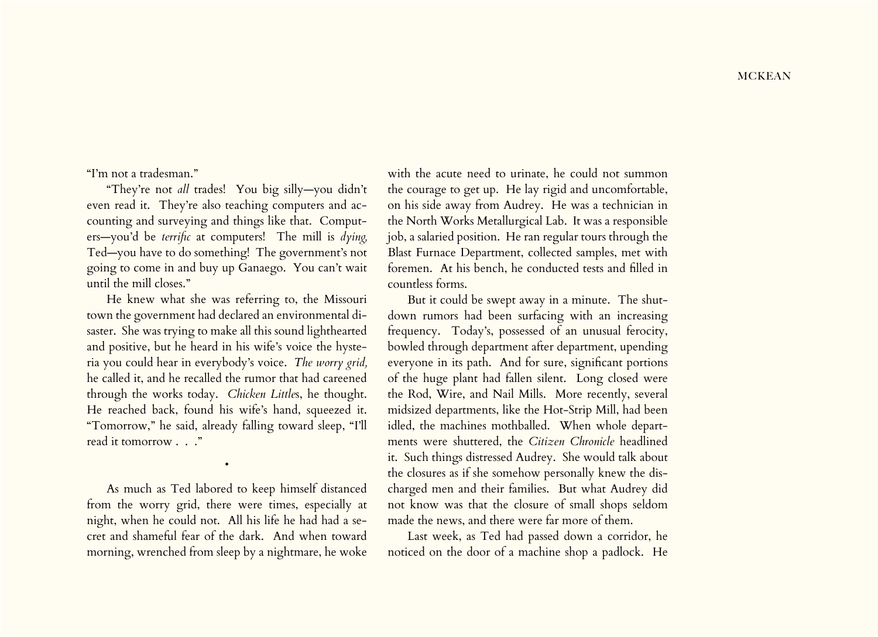"I'm not a tradesman."

"They're not *all* trades! You big silly—you didn't even read it. They're also teaching computers and accounting and surveying and things like that. Computers—you'd be *terrific* at computers! The mill is *dying,*  Ted—you have to do something! The government's not going to come in and buy up Ganaego. You can't wait until the mill closes."

He knew what she was referring to, the Missouri town the government had declared an environmental disaster. She was trying to make all this sound lighthearted and positive, but he heard in his wife's voice the hysteria you could hear in everybody's voice. *The worry grid,* he called it, and he recalled the rumor that had careened through the works today. *Chicken Little*s, he thought. He reached back, found his wife's hand, squeezed it. "Tomorrow," he said, already falling toward sleep, "I'll read it tomorrow . . ."

As much as Ted labored to keep himself distanced from the worry grid, there were times, especially at night, when he could not. All his life he had had a secret and shameful fear of the dark. And when toward morning, wrenched from sleep by a nightmare, he woke

•

with the acute need to urinate, he could not summon the courage to get up. He lay rigid and uncomfortable, on his side away from Audrey. He was a technician in the North Works Metallurgical Lab. It was a responsible job, a salaried position. He ran regular tours through the Blast Furnace Department, collected samples, met with foremen. At his bench, he conducted tests and filled in countless forms.

But it could be swept away in a minute. The shutdown rumors had been surfacing with an increasing frequency. Today's, possessed of an unusual ferocity, bowled through department after department, upending everyone in its path. And for sure, significant portions of the huge plant had fallen silent. Long closed were the Rod, Wire, and Nail Mills. More recently, several midsized departments, like the Hot-Strip Mill, had been idled, the machines mothballed. When whole departments were shuttered, the *Citizen Chronicle* headlined it. Such things distressed Audrey. She would talk about the closures as if she somehow personally knew the discharged men and their families. But what Audrey did not know was that the closure of small shops seldom made the news, and there were far more of them.

Last week, as Ted had passed down a corridor, he noticed on the door of a machine shop a padlock. He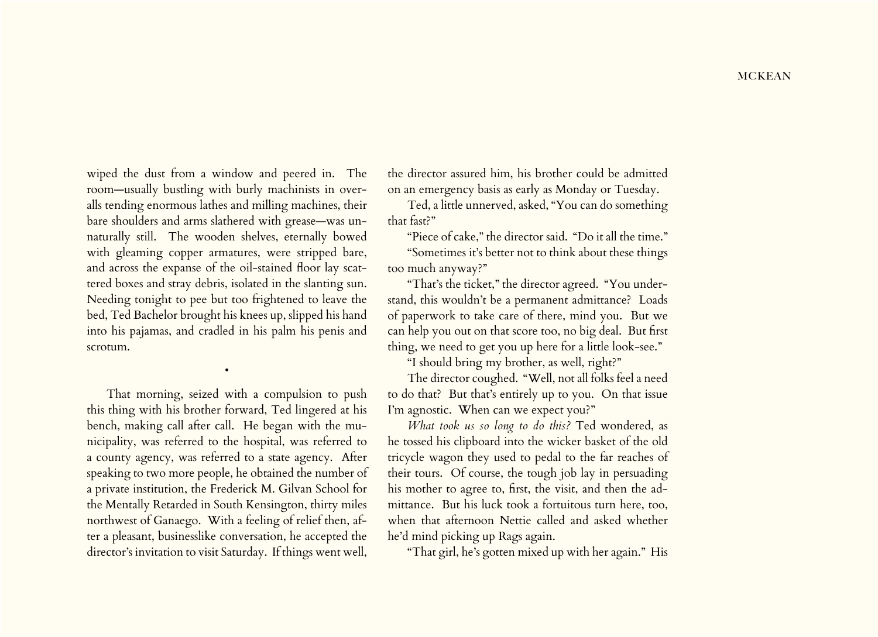wiped the dust from a window and peered in. The room—usually bustling with burly machinists in overalls tending enormous lathes and milling machines, their bare shoulders and arms slathered with grease—was unnaturally still. The wooden shelves, eternally bowed with gleaming copper armatures, were stripped bare, and across the expanse of the oil-stained floor lay scattered boxes and stray debris, isolated in the slanting sun. Needing tonight to pee but too frightened to leave the bed, Ted Bachelor brought his knees up, slipped his hand into his pajamas, and cradled in his palm his penis and scrotum.

That morning, seized with a compulsion to push this thing with his brother forward, Ted lingered at his bench, making call after call. He began with the municipality, was referred to the hospital, was referred to a county agency, was referred to a state agency. After speaking to two more people, he obtained the number of a private institution, the Frederick M. Gilvan School for the Mentally Retarded in South Kensington, thirty miles northwest of Ganaego. With a feeling of relief then, after a pleasant, businesslike conversation, he accepted the director's invitation to visit Saturday. If things went well,

•

the director assured him, his brother could be admitted on an emergency basis as early as Monday or Tuesday.

Ted, a little unnerved, asked, "You can do something that fast?"

"Piece of cake," the director said. "Do it all the time."

"Sometimes it's better not to think about these things too much anyway?"

"That's the ticket," the director agreed. "You understand, this wouldn't be a permanent admittance? Loads of paperwork to take care of there, mind you. But we can help you out on that score too, no big deal. But first thing, we need to get you up here for a little look-see."

"I should bring my brother, as well, right?"

The director coughed. "Well, not all folks feel a need to do that? But that's entirely up to you. On that issue I'm agnostic. When can we expect you?"

*What took us so long to do this?* Ted wondered, as he tossed his clipboard into the wicker basket of the old tricycle wagon they used to pedal to the far reaches of their tours. Of course, the tough job lay in persuading his mother to agree to, first, the visit, and then the admittance. But his luck took a fortuitous turn here, too, when that afternoon Nettie called and asked whether he'd mind picking up Rags again.

"That girl, he's gotten mixed up with her again." His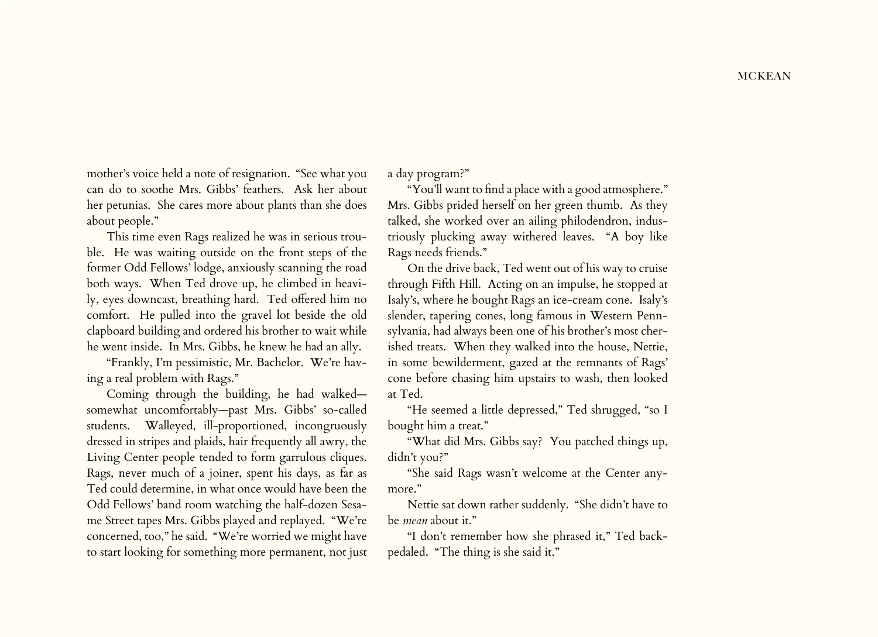mother's voice held a note of resignation. "See what you can do to soothe Mrs. Gibbs' feathers. Ask her about her petunias. She cares more about plants than she does about people."

This time even Rags realized he was in serious trouble. He was waiting outside on the front steps of the former Odd Fellows' lodge, anxiously scanning the road both ways. When Ted drove up, he climbed in heavily, eyes downcast, breathing hard. Ted offered him no comfort. He pulled into the gravel lot beside the old clapboard building and ordered his brother to wait while he went inside. In Mrs. Gibbs, he knew he had an ally.

"Frankly, I'm pessimistic, Mr. Bachelor. We're having a real problem with Rags."

Coming through the building, he had walked somewhat uncomfortably—past Mrs. Gibbs' so-called students. Walleyed, ill-proportioned, incongruously dressed in stripes and plaids, hair frequently all awry, the Living Center people tended to form garrulous cliques. Rags, never much of a joiner, spent his days, as far as Ted could determine, in what once would have been the Odd Fellows' band room watching the half-dozen Sesame Street tapes Mrs. Gibbs played and replayed. "We're concerned, too," he said. "We're worried we might have to start looking for something more permanent, not just

a day program?"

"You'll want to find a place with a good atmosphere." Mrs. Gibbs prided herself on her green thumb. As they talked, she worked over an ailing philodendron, industriously plucking away withered leaves. "A boy like Rags needs friends."

On the drive back, Ted went out of his way to cruise through Fifth Hill. Acting on an impulse, he stopped at Isaly's, where he bought Rags an ice-cream cone. Isaly's slender, tapering cones, long famous in Western Pennsylvania, had always been one of his brother's most cherished treats. When they walked into the house, Nettie, in some bewilderment, gazed at the remnants of Rags' cone before chasing him upstairs to wash, then looked at Ted.

"He seemed a little depressed," Ted shrugged, "so I bought him a treat."

"What did Mrs. Gibbs say? You patched things up, didn't you?"

"She said Rags wasn't welcome at the Center anymore."

Nettie sat down rather suddenly. "She didn't have to be *mean* about it."

"I don't remember how she phrased it," Ted backpedaled. "The thing is she said it."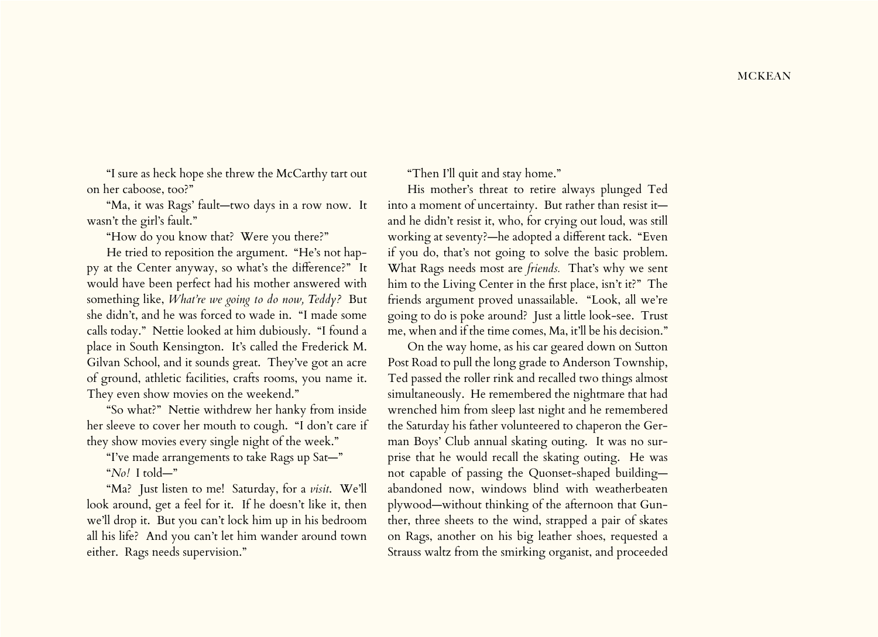"I sure as heck hope she threw the McCarthy tart out on her caboose, too?"

"Ma, it was Rags' fault—two days in a row now. It wasn't the girl's fault."

"How do you know that? Were you there?"

He tried to reposition the argument. "He's not happy at the Center anyway, so what's the difference?" It would have been perfect had his mother answered with something like, *What're we going to do now, Teddy?* But she didn't, and he was forced to wade in. "I made some calls today." Nettie looked at him dubiously. "I found a place in South Kensington. It's called the Frederick M. Gilvan School, and it sounds great. They've got an acre of ground, athletic facilities, crafts rooms, you name it. They even show movies on the weekend."

"So what?" Nettie withdrew her hanky from inside her sleeve to cover her mouth to cough. "I don't care if they show movies every single night of the week."

"I've made arrangements to take Rags up Sat—"

"*No!* I told—"

"Ma? Just listen to me! Saturday, for a *visit*. We'll look around, get a feel for it. If he doesn't like it, then we'll drop it. But you can't lock him up in his bedroom all his life? And you can't let him wander around town either. Rags needs supervision."

"Then I'll quit and stay home."

His mother's threat to retire always plunged Ted into a moment of uncertainty. But rather than resist it and he didn't resist it, who, for crying out loud, was still working at seventy?—he adopted a different tack. "Even if you do, that's not going to solve the basic problem. What Rags needs most are *friends.* That's why we sent him to the Living Center in the first place, isn't it?" The friends argument proved unassailable. "Look, all we're going to do is poke around? Just a little look-see. Trust me, when and if the time comes, Ma, it'll be his decision."

On the way home, as his car geared down on Sutton Post Road to pull the long grade to Anderson Township, Ted passed the roller rink and recalled two things almost simultaneously. He remembered the nightmare that had wrenched him from sleep last night and he remembered the Saturday his father volunteered to chaperon the German Boys' Club annual skating outing. It was no surprise that he would recall the skating outing. He was not capable of passing the Quonset-shaped building abandoned now, windows blind with weatherbeaten plywood—without thinking of the afternoon that Gunther, three sheets to the wind, strapped a pair of skates on Rags, another on his big leather shoes, requested a Strauss waltz from the smirking organist, and proceeded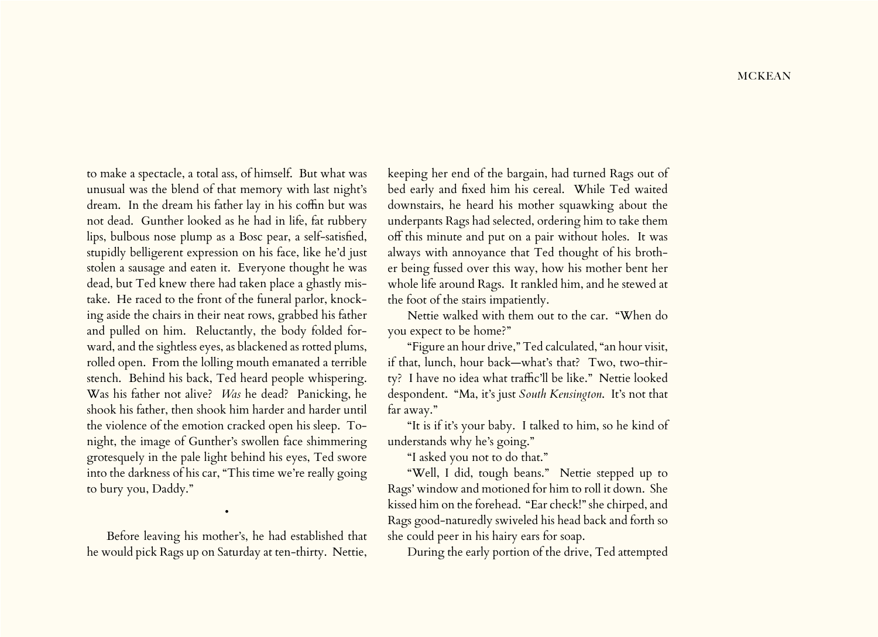to make a spectacle, a total ass, of himself. But what was unusual was the blend of that memory with last night's dream. In the dream his father lay in his coffin but was not dead. Gunther looked as he had in life, fat rubbery lips, bulbous nose plump as a Bosc pear, a self-satisfied, stupidly belligerent expression on his face, like he'd just stolen a sausage and eaten it. Everyone thought he was dead, but Ted knew there had taken place a ghastly mistake. He raced to the front of the funeral parlor, knocking aside the chairs in their neat rows, grabbed his father and pulled on him. Reluctantly, the body folded forward, and the sightless eyes, as blackened as rotted plums, rolled open. From the lolling mouth emanated a terrible stench. Behind his back, Ted heard people whispering. Was his father not alive? *Was* he dead? Panicking, he shook his father, then shook him harder and harder until the violence of the emotion cracked open his sleep. Tonight, the image of Gunther's swollen face shimmering grotesquely in the pale light behind his eyes, Ted swore into the darkness of his car, "This time we're really going to bury you, Daddy."

Before leaving his mother's, he had established that he would pick Rags up on Saturday at ten-thirty. Nettie,

•

keeping her end of the bargain, had turned Rags out of bed early and fixed him his cereal. While Ted waited downstairs, he heard his mother squawking about the underpants Rags had selected, ordering him to take them off this minute and put on a pair without holes. It was always with annoyance that Ted thought of his brother being fussed over this way, how his mother bent her whole life around Rags. It rankled him, and he stewed at the foot of the stairs impatiently.

Nettie walked with them out to the car. "When do you expect to be home?"

"Figure an hour drive," Ted calculated, "an hour visit, if that, lunch, hour back—what's that? Two, two-thirty? I have no idea what traffic'll be like." Nettie looked despondent. "Ma, it's just *South Kensington*. It's not that far away."

"It is if it's your baby. I talked to him, so he kind of understands why he's going."

"I asked you not to do that."

"Well, I did, tough beans." Nettie stepped up to Rags' window and motioned for him to roll it down. She kissed him on the forehead. "Ear check!" she chirped, and Rags good-naturedly swiveled his head back and forth so she could peer in his hairy ears for soap.

During the early portion of the drive, Ted attempted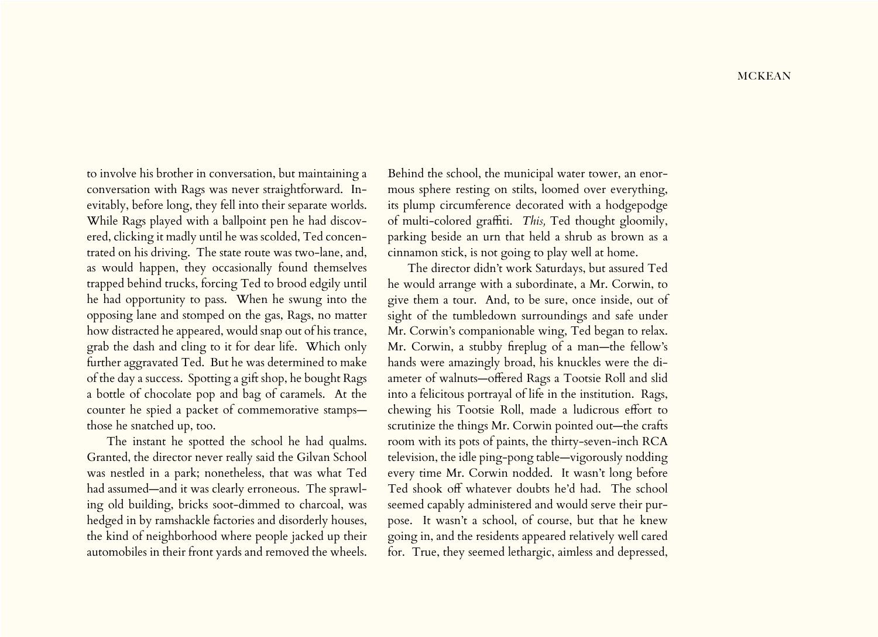to involve his brother in conversation, but maintaining a conversation with Rags was never straightforward. Inevitably, before long, they fell into their separate worlds. While Rags played with a ballpoint pen he had discovered, clicking it madly until he was scolded, Ted concentrated on his driving. The state route was two-lane, and, as would happen, they occasionally found themselves trapped behind trucks, forcing Ted to brood edgily until he had opportunity to pass. When he swung into the opposing lane and stomped on the gas, Rags, no matter how distracted he appeared, would snap out of his trance, grab the dash and cling to it for dear life. Which only further aggravated Ted. But he was determined to make of the day a success. Spotting a gift shop, he bought Rags a bottle of chocolate pop and bag of caramels. At the counter he spied a packet of commemorative stamps those he snatched up, too.

The instant he spotted the school he had qualms. Granted, the director never really said the Gilvan School was nestled in a park; nonetheless, that was what Ted had assumed—and it was clearly erroneous. The sprawling old building, bricks soot-dimmed to charcoal, was hedged in by ramshackle factories and disorderly houses, the kind of neighborhood where people jacked up their automobiles in their front yards and removed the wheels.

Behind the school, the municipal water tower, an enormous sphere resting on stilts, loomed over everything, its plump circumference decorated with a hodgepodge of multi-colored graffiti. *This,* Ted thought gloomily, parking beside an urn that held a shrub as brown as a cinnamon stick, is not going to play well at home.

The director didn't work Saturdays, but assured Ted he would arrange with a subordinate, a Mr. Corwin, to give them a tour. And, to be sure, once inside, out of sight of the tumbledown surroundings and safe under Mr. Corwin's companionable wing, Ted began to relax. Mr. Corwin, a stubby fireplug of a man—the fellow's hands were amazingly broad, his knuckles were the diameter of walnuts—offered Rags a Tootsie Roll and slid into a felicitous portrayal of life in the institution. Rags, chewing his Tootsie Roll, made a ludicrous effort to scrutinize the things Mr. Corwin pointed out—the crafts room with its pots of paints, the thirty-seven-inch RCA television, the idle ping-pong table—vigorously nodding every time Mr. Corwin nodded. It wasn't long before Ted shook off whatever doubts he'd had. The school seemed capably administered and would serve their purpose. It wasn't a school, of course, but that he knew going in, and the residents appeared relatively well cared for. True, they seemed lethargic, aimless and depressed,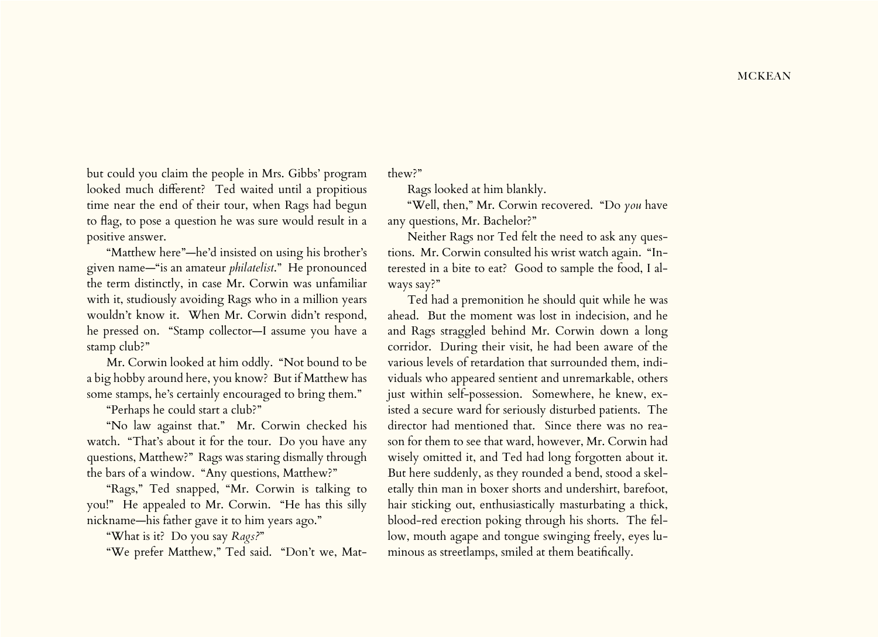but could you claim the people in Mrs. Gibbs' program looked much different? Ted waited until a propitious time near the end of their tour, when Rags had begun to flag, to pose a question he was sure would result in a positive answer.

"Matthew here"—he'd insisted on using his brother's given name—"is an amateur *philatelist*." He pronounced the term distinctly, in case Mr. Corwin was unfamiliar with it, studiously avoiding Rags who in a million years wouldn't know it. When Mr. Corwin didn't respond, he pressed on. "Stamp collector—I assume you have a stamp club?"

Mr. Corwin looked at him oddly. "Not bound to be a big hobby around here, you know? But if Matthew has some stamps, he's certainly encouraged to bring them."

"Perhaps he could start a club?"

"No law against that." Mr. Corwin checked his watch. "That's about it for the tour. Do you have any questions, Matthew?" Rags was staring dismally through the bars of a window. "Any questions, Matthew?"

"Rags," Ted snapped, "Mr. Corwin is talking to you!" He appealed to Mr. Corwin. "He has this silly nickname—his father gave it to him years ago."

"What is it? Do you say *Rags?*"

"We prefer Matthew," Ted said. "Don't we, Mat-

thew?"

Rags looked at him blankly.

"Well, then," Mr. Corwin recovered. "Do *you* have any questions, Mr. Bachelor?"

Neither Rags nor Ted felt the need to ask any questions. Mr. Corwin consulted his wrist watch again. "Interested in a bite to eat? Good to sample the food, I always say?"

Ted had a premonition he should quit while he was ahead. But the moment was lost in indecision, and he and Rags straggled behind Mr. Corwin down a long corridor. During their visit, he had been aware of the various levels of retardation that surrounded them, individuals who appeared sentient and unremarkable, others just within self-possession. Somewhere, he knew, existed a secure ward for seriously disturbed patients. The director had mentioned that. Since there was no reason for them to see that ward, however, Mr. Corwin had wisely omitted it, and Ted had long forgotten about it. But here suddenly, as they rounded a bend, stood a skeletally thin man in boxer shorts and undershirt, barefoot, hair sticking out, enthusiastically masturbating a thick, blood-red erection poking through his shorts. The fellow, mouth agape and tongue swinging freely, eyes luminous as streetlamps, smiled at them beatifically.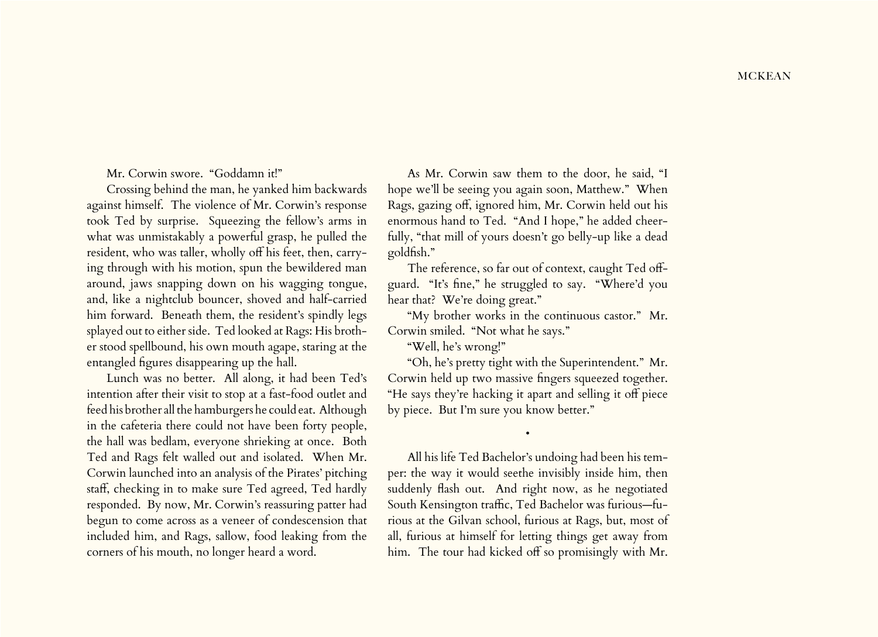Mr. Corwin swore. "Goddamn it!"

Crossing behind the man, he yanked him backwards against himself. The violence of Mr. Corwin's response took Ted by surprise. Squeezing the fellow's arms in what was unmistakably a powerful grasp, he pulled the resident, who was taller, wholly off his feet, then, carrying through with his motion, spun the bewildered man around, jaws snapping down on his wagging tongue, and, like a nightclub bouncer, shoved and half-carried him forward. Beneath them, the resident's spindly legs splayed out to either side. Ted looked at Rags: His brother stood spellbound, his own mouth agape, staring at the entangled figures disappearing up the hall.

Lunch was no better. All along, it had been Ted's intention after their visit to stop at a fast-food outlet and feed his brother all the hamburgers he could eat. Although in the cafeteria there could not have been forty people, the hall was bedlam, everyone shrieking at once. Both Ted and Rags felt walled out and isolated. When Mr. Corwin launched into an analysis of the Pirates' pitching staff, checking in to make sure Ted agreed, Ted hardly responded. By now, Mr. Corwin's reassuring patter had begun to come across as a veneer of condescension that included him, and Rags, sallow, food leaking from the corners of his mouth, no longer heard a word.

As Mr. Corwin saw them to the door, he said, "I hope we'll be seeing you again soon, Matthew." When Rags, gazing off, ignored him, Mr. Corwin held out his enormous hand to Ted. "And I hope," he added cheerfully, "that mill of yours doesn't go belly-up like a dead goldfish."

The reference, so far out of context, caught Ted offguard. "It's fine," he struggled to say. "Where'd you hear that? We're doing great."

"My brother works in the continuous castor." Mr. Corwin smiled. "Not what he says."

"Well, he's wrong!"

"Oh, he's pretty tight with the Superintendent." Mr. Corwin held up two massive fingers squeezed together. "He says they're hacking it apart and selling it off piece by piece. But I'm sure you know better."

•

All his life Ted Bachelor's undoing had been his temper: the way it would seethe invisibly inside him, then suddenly flash out. And right now, as he negotiated South Kensington traffic, Ted Bachelor was furious—furious at the Gilvan school, furious at Rags, but, most of all, furious at himself for letting things get away from him. The tour had kicked off so promisingly with Mr.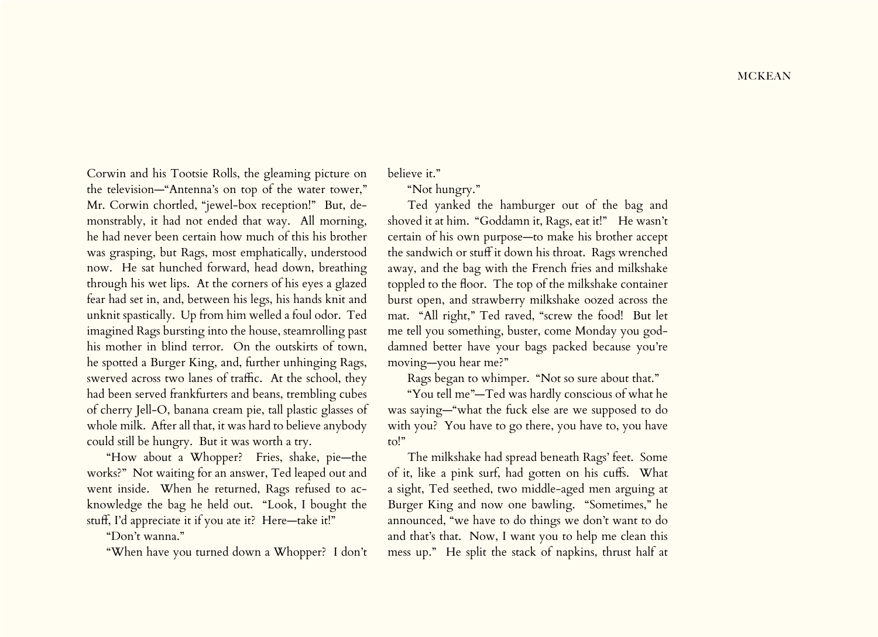Corwin and his Tootsie Rolls, the gleaming picture on the television—"Antenna's on top of the water tower," Mr. Corwin chortled, "jewel-box reception!" But, demonstrably, it had not ended that way. All morning, he had never been certain how much of this his brother was grasping, but Rags, most emphatically, understood now. He sat hunched forward, head down, breathing through his wet lips. At the corners of his eyes a glazed fear had set in, and, between his legs, his hands knit and unknit spastically. Up from him welled a foul odor. Ted imagined Rags bursting into the house, steamrolling past his mother in blind terror. On the outskirts of town, he spotted a Burger King, and, further unhinging Rags, swerved across two lanes of traffic. At the school, they had been served frankfurters and beans, trembling cubes of cherry Jell-O, banana cream pie, tall plastic glasses of whole milk. After all that, it was hard to believe anybody could still be hungry. But it was worth a try.

"How about a Whopper? Fries, shake, pie—the works?" Not waiting for an answer, Ted leaped out and went inside. When he returned, Rags refused to acknowledge the bag he held out. "Look, I bought the stuff, I'd appreciate it if you ate it? Here—take it!"

"Don't wanna."

"When have you turned down a Whopper? I don't

believe it."

"Not hungry."

Ted yanked the hamburger out of the bag and shoved it at him. "Goddamn it, Rags, eat it!" He wasn't certain of his own purpose—to make his brother accept the sandwich or stuff it down his throat. Rags wrenched away, and the bag with the French fries and milkshake toppled to the floor. The top of the milkshake container burst open, and strawberry milkshake oozed across the mat. "All right," Ted raved, "screw the food! But let me tell you something, buster, come Monday you goddamned better have your bags packed because you're moving—you hear me?"

Rags began to whimper. "Not so sure about that."

"You tell me"—Ted was hardly conscious of what he was saying—"what the fuck else are we supposed to do with you? You have to go there, you have to, you have to!"

The milkshake had spread beneath Rags' feet. Some of it, like a pink surf, had gotten on his cuffs. What a sight, Ted seethed, two middle-aged men arguing at Burger King and now one bawling. "Sometimes," he announced, "we have to do things we don't want to do and that's that. Now, I want you to help me clean this mess up." He split the stack of napkins, thrust half at